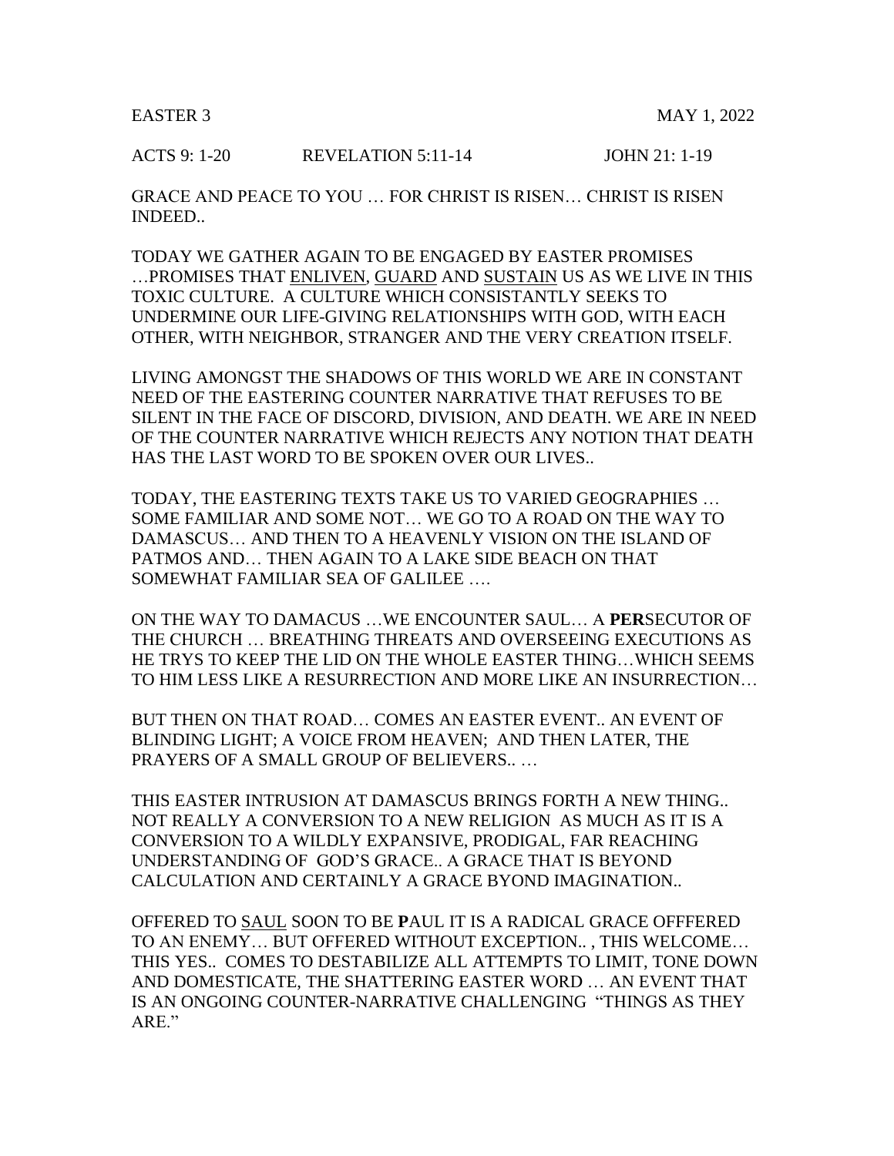ACTS 9: 1-20 REVELATION 5:11-14 JOHN 21: 1-19

GRACE AND PEACE TO YOU … FOR CHRIST IS RISEN… CHRIST IS RISEN INDEED..

TODAY WE GATHER AGAIN TO BE ENGAGED BY EASTER PROMISES …PROMISES THAT ENLIVEN, GUARD AND SUSTAIN US AS WE LIVE IN THIS TOXIC CULTURE. A CULTURE WHICH CONSISTANTLY SEEKS TO UNDERMINE OUR LIFE-GIVING RELATIONSHIPS WITH GOD, WITH EACH OTHER, WITH NEIGHBOR, STRANGER AND THE VERY CREATION ITSELF.

LIVING AMONGST THE SHADOWS OF THIS WORLD WE ARE IN CONSTANT NEED OF THE EASTERING COUNTER NARRATIVE THAT REFUSES TO BE SILENT IN THE FACE OF DISCORD, DIVISION, AND DEATH. WE ARE IN NEED OF THE COUNTER NARRATIVE WHICH REJECTS ANY NOTION THAT DEATH HAS THE LAST WORD TO BE SPOKEN OVER OUR LIVES..

TODAY, THE EASTERING TEXTS TAKE US TO VARIED GEOGRAPHIES … SOME FAMILIAR AND SOME NOT… WE GO TO A ROAD ON THE WAY TO DAMASCUS… AND THEN TO A HEAVENLY VISION ON THE ISLAND OF PATMOS AND… THEN AGAIN TO A LAKE SIDE BEACH ON THAT SOMEWHAT FAMILIAR SEA OF GALILEE ….

ON THE WAY TO DAMACUS …WE ENCOUNTER SAUL… A **PER**SECUTOR OF THE CHURCH … BREATHING THREATS AND OVERSEEING EXECUTIONS AS HE TRYS TO KEEP THE LID ON THE WHOLE EASTER THING…WHICH SEEMS TO HIM LESS LIKE A RESURRECTION AND MORE LIKE AN INSURRECTION…

BUT THEN ON THAT ROAD… COMES AN EASTER EVENT.. AN EVENT OF BLINDING LIGHT; A VOICE FROM HEAVEN; AND THEN LATER, THE PRAYERS OF A SMALL GROUP OF BELIEVERS.. …

THIS EASTER INTRUSION AT DAMASCUS BRINGS FORTH A NEW THING.. NOT REALLY A CONVERSION TO A NEW RELIGION AS MUCH AS IT IS A CONVERSION TO A WILDLY EXPANSIVE, PRODIGAL, FAR REACHING UNDERSTANDING OF GOD'S GRACE.. A GRACE THAT IS BEYOND CALCULATION AND CERTAINLY A GRACE BYOND IMAGINATION..

OFFERED TO SAUL SOON TO BE **P**AUL IT IS A RADICAL GRACE OFFFERED TO AN ENEMY… BUT OFFERED WITHOUT EXCEPTION.. , THIS WELCOME… THIS YES.. COMES TO DESTABILIZE ALL ATTEMPTS TO LIMIT, TONE DOWN AND DOMESTICATE, THE SHATTERING EASTER WORD … AN EVENT THAT IS AN ONGOING COUNTER-NARRATIVE CHALLENGING "THINGS AS THEY ARE."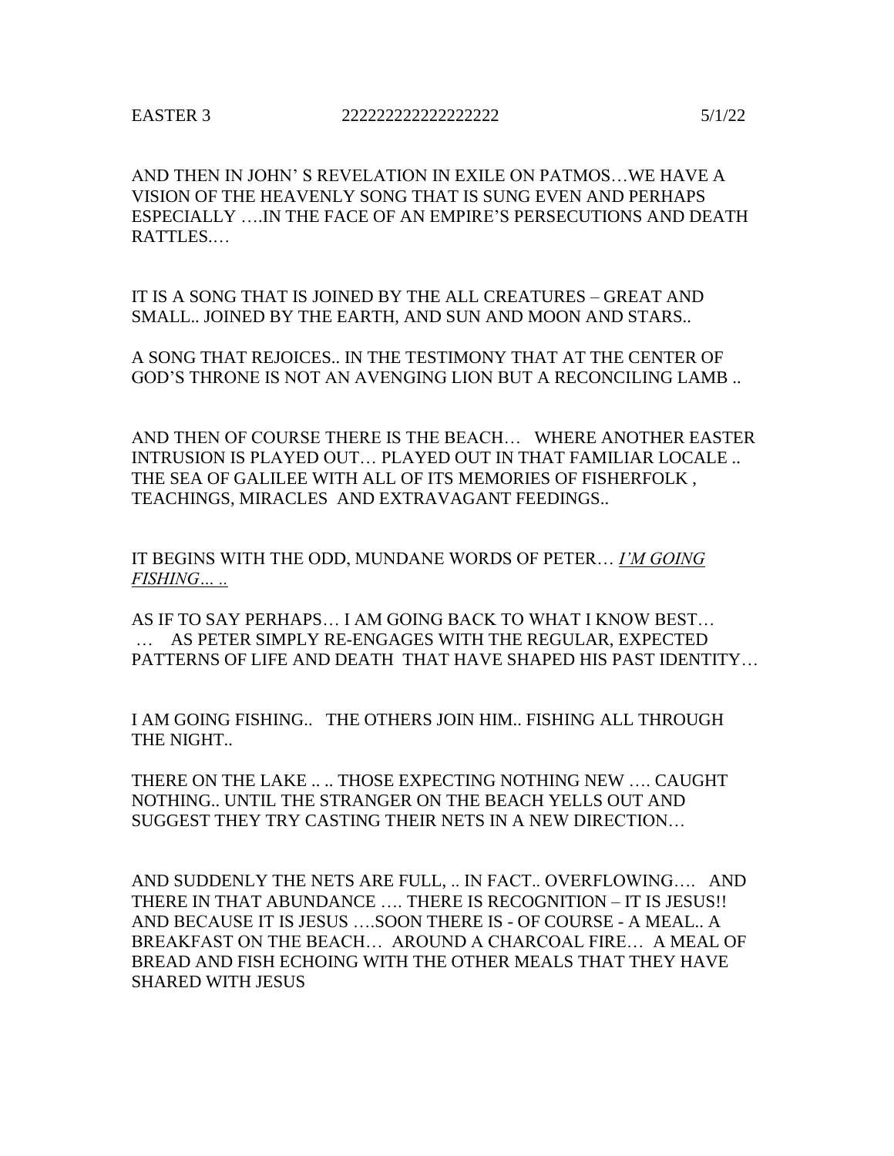AND THEN IN JOHN' S REVELATION IN EXILE ON PATMOS…WE HAVE A VISION OF THE HEAVENLY SONG THAT IS SUNG EVEN AND PERHAPS ESPECIALLY ….IN THE FACE OF AN EMPIRE'S PERSECUTIONS AND DEATH RATTLES.…

IT IS A SONG THAT IS JOINED BY THE ALL CREATURES – GREAT AND SMALL.. JOINED BY THE EARTH, AND SUN AND MOON AND STARS..

A SONG THAT REJOICES.. IN THE TESTIMONY THAT AT THE CENTER OF GOD'S THRONE IS NOT AN AVENGING LION BUT A RECONCILING LAMB ..

AND THEN OF COURSE THERE IS THE BEACH… WHERE ANOTHER EASTER INTRUSION IS PLAYED OUT… PLAYED OUT IN THAT FAMILIAR LOCALE .. THE SEA OF GALILEE WITH ALL OF ITS MEMORIES OF FISHERFOLK , TEACHINGS, MIRACLES AND EXTRAVAGANT FEEDINGS..

IT BEGINS WITH THE ODD, MUNDANE WORDS OF PETER… *I'M GOING FISHING… ..* 

AS IF TO SAY PERHAPS… I AM GOING BACK TO WHAT I KNOW BEST… … AS PETER SIMPLY RE-ENGAGES WITH THE REGULAR, EXPECTED PATTERNS OF LIFE AND DEATH THAT HAVE SHAPED HIS PAST IDENTITY…

I AM GOING FISHING.. THE OTHERS JOIN HIM.. FISHING ALL THROUGH THE NIGHT..

THERE ON THE LAKE .. .. THOSE EXPECTING NOTHING NEW …. CAUGHT NOTHING.. UNTIL THE STRANGER ON THE BEACH YELLS OUT AND SUGGEST THEY TRY CASTING THEIR NETS IN A NEW DIRECTION…

AND SUDDENLY THE NETS ARE FULL, .. IN FACT.. OVERFLOWING…. AND THERE IN THAT ABUNDANCE …. THERE IS RECOGNITION – IT IS JESUS!! AND BECAUSE IT IS JESUS ….SOON THERE IS - OF COURSE - A MEAL.. A BREAKFAST ON THE BEACH… AROUND A CHARCOAL FIRE… A MEAL OF BREAD AND FISH ECHOING WITH THE OTHER MEALS THAT THEY HAVE SHARED WITH JESUS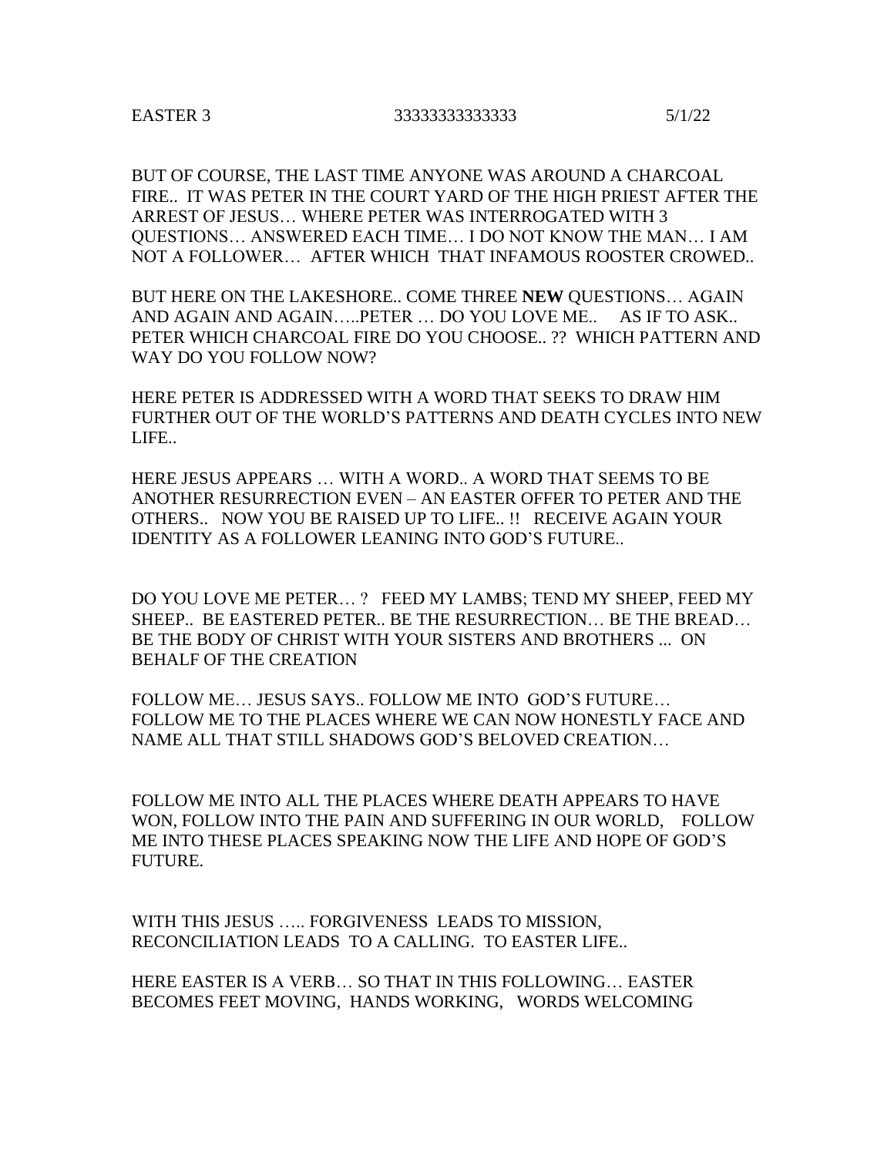## EASTER 3 33333333333333 5/1/22

BUT OF COURSE, THE LAST TIME ANYONE WAS AROUND A CHARCOAL FIRE.. IT WAS PETER IN THE COURT YARD OF THE HIGH PRIEST AFTER THE ARREST OF JESUS… WHERE PETER WAS INTERROGATED WITH 3 QUESTIONS… ANSWERED EACH TIME… I DO NOT KNOW THE MAN… I AM NOT A FOLLOWER… AFTER WHICH THAT INFAMOUS ROOSTER CROWED..

BUT HERE ON THE LAKESHORE.. COME THREE **NEW** QUESTIONS… AGAIN AND AGAIN AND AGAIN…..PETER … DO YOU LOVE ME.. AS IF TO ASK.. PETER WHICH CHARCOAL FIRE DO YOU CHOOSE.. ?? WHICH PATTERN AND WAY DO YOU FOLLOW NOW?

HERE PETER IS ADDRESSED WITH A WORD THAT SEEKS TO DRAW HIM FURTHER OUT OF THE WORLD'S PATTERNS AND DEATH CYCLES INTO NEW LIFE..

HERE JESUS APPEARS … WITH A WORD.. A WORD THAT SEEMS TO BE ANOTHER RESURRECTION EVEN – AN EASTER OFFER TO PETER AND THE OTHERS.. NOW YOU BE RAISED UP TO LIFE.. !! RECEIVE AGAIN YOUR IDENTITY AS A FOLLOWER LEANING INTO GOD'S FUTURE..

DO YOU LOVE ME PETER… ? FEED MY LAMBS; TEND MY SHEEP, FEED MY SHEEP.. BE EASTERED PETER.. BE THE RESURRECTION… BE THE BREAD… BE THE BODY OF CHRIST WITH YOUR SISTERS AND BROTHERS ... ON BEHALF OF THE CREATION

FOLLOW ME… JESUS SAYS.. FOLLOW ME INTO GOD'S FUTURE… FOLLOW ME TO THE PLACES WHERE WE CAN NOW HONESTLY FACE AND NAME ALL THAT STILL SHADOWS GOD'S BELOVED CREATION…

FOLLOW ME INTO ALL THE PLACES WHERE DEATH APPEARS TO HAVE WON, FOLLOW INTO THE PAIN AND SUFFERING IN OUR WORLD, FOLLOW ME INTO THESE PLACES SPEAKING NOW THE LIFE AND HOPE OF GOD'S FUTURE.

WITH THIS JESUS ….. FORGIVENESS LEADS TO MISSION, RECONCILIATION LEADS TO A CALLING. TO EASTER LIFE..

HERE EASTER IS A VERB… SO THAT IN THIS FOLLOWING… EASTER BECOMES FEET MOVING, HANDS WORKING, WORDS WELCOMING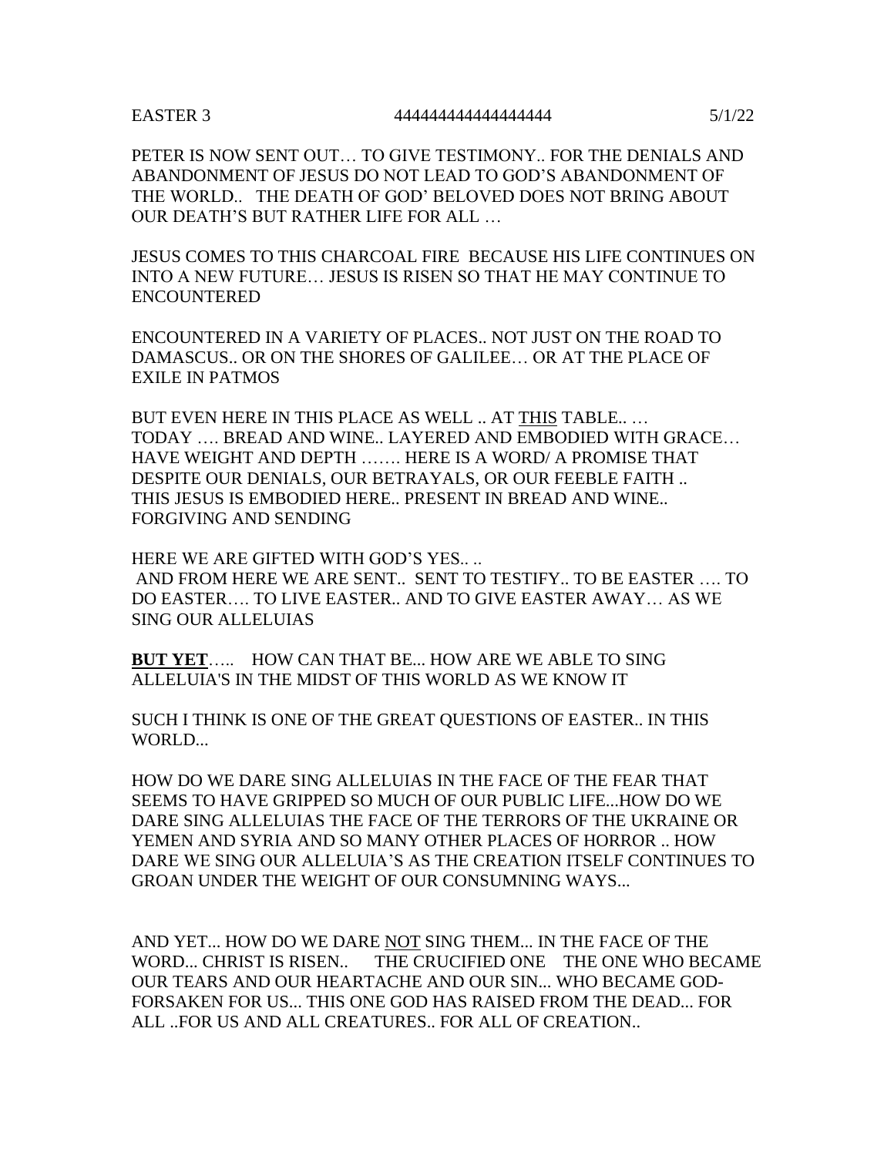## EASTER 3 444444444444444444 5/1/22

PETER IS NOW SENT OUT… TO GIVE TESTIMONY.. FOR THE DENIALS AND ABANDONMENT OF JESUS DO NOT LEAD TO GOD'S ABANDONMENT OF THE WORLD.. THE DEATH OF GOD' BELOVED DOES NOT BRING ABOUT OUR DEATH'S BUT RATHER LIFE FOR ALL …

JESUS COMES TO THIS CHARCOAL FIRE BECAUSE HIS LIFE CONTINUES ON INTO A NEW FUTURE… JESUS IS RISEN SO THAT HE MAY CONTINUE TO ENCOUNTERED

ENCOUNTERED IN A VARIETY OF PLACES.. NOT JUST ON THE ROAD TO DAMASCUS.. OR ON THE SHORES OF GALILEE… OR AT THE PLACE OF EXILE IN PATMOS

BUT EVEN HERE IN THIS PLACE AS WELL .. AT THIS TABLE.. … TODAY …. BREAD AND WINE.. LAYERED AND EMBODIED WITH GRACE… HAVE WEIGHT AND DEPTH ……. HERE IS A WORD/ A PROMISE THAT DESPITE OUR DENIALS, OUR BETRAYALS, OR OUR FEEBLE FAITH .. THIS JESUS IS EMBODIED HERE.. PRESENT IN BREAD AND WINE.. FORGIVING AND SENDING

HERE WE ARE GIFTED WITH GOD'S YES...

AND FROM HERE WE ARE SENT.. SENT TO TESTIFY.. TO BE EASTER …. TO DO EASTER…. TO LIVE EASTER.. AND TO GIVE EASTER AWAY… AS WE SING OUR ALLELUIAS

**BUT YET**….. HOW CAN THAT BE... HOW ARE WE ABLE TO SING ALLELUIA'S IN THE MIDST OF THIS WORLD AS WE KNOW IT

SUCH I THINK IS ONE OF THE GREAT QUESTIONS OF EASTER.. IN THIS WORLD...

HOW DO WE DARE SING ALLELUIAS IN THE FACE OF THE FEAR THAT SEEMS TO HAVE GRIPPED SO MUCH OF OUR PUBLIC LIFE...HOW DO WE DARE SING ALLELUIAS THE FACE OF THE TERRORS OF THE UKRAINE OR YEMEN AND SYRIA AND SO MANY OTHER PLACES OF HORROR .. HOW DARE WE SING OUR ALLELUIA'S AS THE CREATION ITSELF CONTINUES TO GROAN UNDER THE WEIGHT OF OUR CONSUMNING WAYS...

AND YET... HOW DO WE DARE NOT SING THEM... IN THE FACE OF THE WORD... CHRIST IS RISEN.. THE CRUCIFIED ONE THE ONE WHO BECAME OUR TEARS AND OUR HEARTACHE AND OUR SIN... WHO BECAME GOD-FORSAKEN FOR US... THIS ONE GOD HAS RAISED FROM THE DEAD... FOR ALL ..FOR US AND ALL CREATURES.. FOR ALL OF CREATION..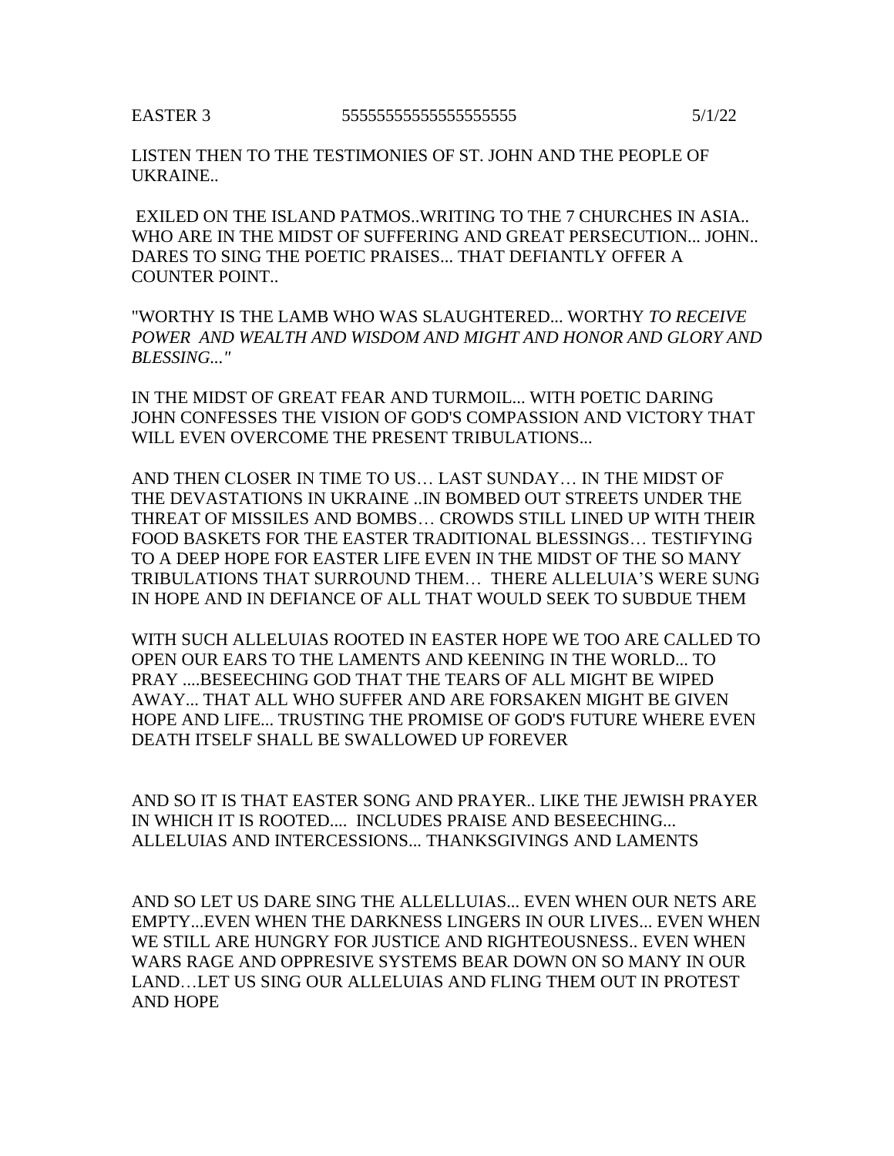## EASTER 3 55555555555555555555 5/1/22

LISTEN THEN TO THE TESTIMONIES OF ST. JOHN AND THE PEOPLE OF UKRAINE..

EXILED ON THE ISLAND PATMOS..WRITING TO THE 7 CHURCHES IN ASIA.. WHO ARE IN THE MIDST OF SUFFERING AND GREAT PERSECUTION... JOHN.. DARES TO SING THE POETIC PRAISES... THAT DEFIANTLY OFFER A COUNTER POINT..

"WORTHY IS THE LAMB WHO WAS SLAUGHTERED... WORTHY *TO RECEIVE POWER AND WEALTH AND WISDOM AND MIGHT AND HONOR AND GLORY AND BLESSING..."*

IN THE MIDST OF GREAT FEAR AND TURMOIL... WITH POETIC DARING JOHN CONFESSES THE VISION OF GOD'S COMPASSION AND VICTORY THAT WILL EVEN OVERCOME THE PRESENT TRIBULATIONS...

AND THEN CLOSER IN TIME TO US… LAST SUNDAY… IN THE MIDST OF THE DEVASTATIONS IN UKRAINE ..IN BOMBED OUT STREETS UNDER THE THREAT OF MISSILES AND BOMBS… CROWDS STILL LINED UP WITH THEIR FOOD BASKETS FOR THE EASTER TRADITIONAL BLESSINGS… TESTIFYING TO A DEEP HOPE FOR EASTER LIFE EVEN IN THE MIDST OF THE SO MANY TRIBULATIONS THAT SURROUND THEM… THERE ALLELUIA'S WERE SUNG IN HOPE AND IN DEFIANCE OF ALL THAT WOULD SEEK TO SUBDUE THEM

WITH SUCH ALLELUIAS ROOTED IN EASTER HOPE WE TOO ARE CALLED TO OPEN OUR EARS TO THE LAMENTS AND KEENING IN THE WORLD... TO PRAY ....BESEECHING GOD THAT THE TEARS OF ALL MIGHT BE WIPED AWAY... THAT ALL WHO SUFFER AND ARE FORSAKEN MIGHT BE GIVEN HOPE AND LIFE... TRUSTING THE PROMISE OF GOD'S FUTURE WHERE EVEN DEATH ITSELF SHALL BE SWALLOWED UP FOREVER

AND SO IT IS THAT EASTER SONG AND PRAYER.. LIKE THE JEWISH PRAYER IN WHICH IT IS ROOTED.... INCLUDES PRAISE AND BESEECHING... ALLELUIAS AND INTERCESSIONS... THANKSGIVINGS AND LAMENTS

AND SO LET US DARE SING THE ALLELLUIAS... EVEN WHEN OUR NETS ARE EMPTY...EVEN WHEN THE DARKNESS LINGERS IN OUR LIVES... EVEN WHEN WE STILL ARE HUNGRY FOR JUSTICE AND RIGHTEOUSNESS.. EVEN WHEN WARS RAGE AND OPPRESIVE SYSTEMS BEAR DOWN ON SO MANY IN OUR LAND…LET US SING OUR ALLELUIAS AND FLING THEM OUT IN PROTEST AND HOPE